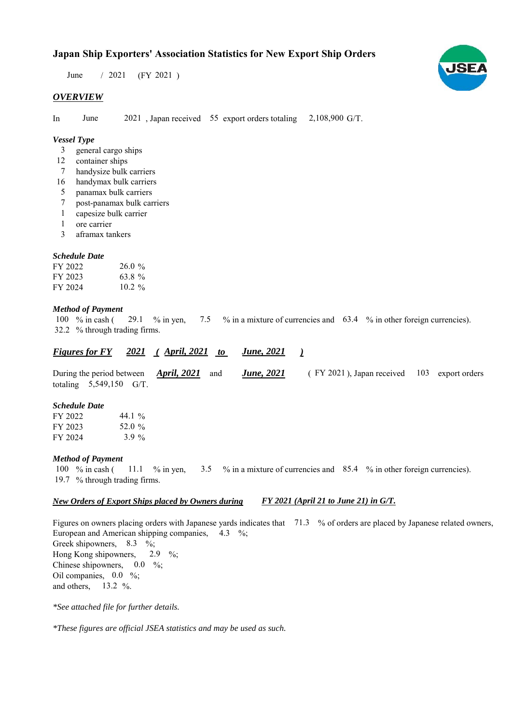$/ 2021$  (FY 2021) June

## *OVERVIEW*

In June 2021, Japan received 55 export orders totaling 2,108,900 G/T.

### *Vessel Type*

- general cargo ships 3
- container ships 12
- handysize bulk carriers 7
- 16 handymax bulk carriers
- panamax bulk carriers 5
- post-panamax bulk carriers 7
- capesize bulk carrier 1
- ore carrier 1
- aframax tankers 3

#### *Schedule Date*

| FY 2022 | 26.0%     |
|---------|-----------|
| FY 2023 | 63.8%     |
| FY 2024 | $10.2 \%$ |

#### *Method of Payment*

100 % in cash (29.1 % in yen, 7.5 % in a mixture of currencies and 63.4 % in other foreign currencies). % through trading firms. 32.2 29.1 % in yen,

#### *Figures for FY* 2021 (April, 2021 to June, 2021) *June, 2021*

During the period between **April, 2021** and **June, 2021** (FY 2021), Japan received 103 export orders totaling  $5,549,150$  G/T. *June, 2021 April, 2021*

## *Schedule Date*

| FY 2022 | 44.1 %   |
|---------|----------|
| FY 2023 | 52.0 %   |
| FY 2024 | 3.9 $\%$ |

#### *Method of Payment*

% in cash ( $\frac{11.1}{8}$  % in yen,  $\frac{3.5}{8}$  % in a mixture of currencies and  $\frac{85.4}{8}$  % in other foreign currencies). 19.7 % through trading firms. 100 % in cash ( 3.5 11.1 % in yen,

#### *New Orders of Export Ships placed by Owners during FY 2021 (April 21 to June 21) in G/T.*

Figures on owners placing orders with Japanese yards indicates that 71.3 % of orders are placed by Japanese related owners, European and American shipping companies,  $4.3\%$ ; Greek shipowners, 8.3 %; Hong Kong shipowners, Chinese shipowners,  $0.0\%$ ; Oil companies,  $0.0\%$ ; and others, 13.2  $\%$ . 2.9  $\frac{9}{6}$ :

*\*See attached file for further details.*

*\*These figures are official JSEA statistics and may be used as such.*

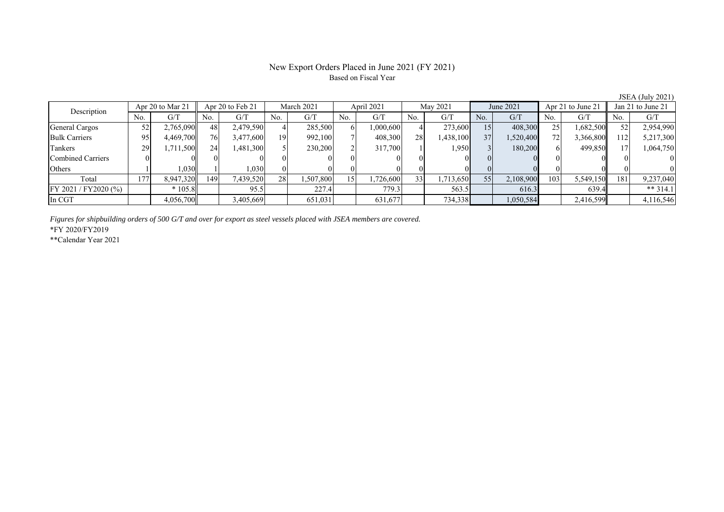# New Export Orders Placed in June 2021 (FY 2021) Based on Fiscal Year

JSEA (July 2021)

| Description          | Apr 20 to Mar 21 |           | Apr 20 to Feb 21 |           | March 2021 |           | April 2021       |          | May 2021       |           | June 2021 |           | Apr 21 to June 21 |           | Jan 21 to June 21 |            |
|----------------------|------------------|-----------|------------------|-----------|------------|-----------|------------------|----------|----------------|-----------|-----------|-----------|-------------------|-----------|-------------------|------------|
|                      | No.              | G/T       | No.              | G/T       | No.        | G/T       | No.              | G/T      | N <sub>0</sub> | G/T       | No.       | G/T       | No.               | G/T       | No.               | G/T        |
| General Cargos       | 52               | 2,765,090 | 48               | 2,479,590 |            | 285,500   | 61               | .000,600 |                | 273,600   | 15        | 408,300   | 25                | 1,682,500 | 52                | 2,954,990  |
| <b>Bulk Carriers</b> | 95               | 4,469,700 | 761              | 3,477,600 | 19         | 992,100   |                  | 408,300  | 28             | 1,438,100 | 37        | 1,520,400 | 72                | 3,366,800 | 112               | 5,217,300  |
| Tankers              | 29               | .711,500  | 24               | 1,481,300 |            | 230,200   |                  | 317,700  |                | 1,950     |           | 180,200   |                   | 499,850   |                   | 1,064,750  |
| Combined Carriers    |                  |           |                  |           |            |           |                  |          |                |           |           |           |                   |           |                   |            |
| Others               |                  | 1,030     |                  | 1,030     |            |           |                  |          |                |           |           |           |                   |           |                   | $\Omega$   |
| Total                | 177              | 8,947,320 | 149              | 7,439,520 | 28         | 1,507,800 | 15 <sup>-1</sup> | .726,600 | 33             | 1,713,650 | 55        | 2,108,900 | 103               | 5,549,150 | 181               | 9,237,040  |
| FY 2021 / FY2020 (%) |                  | $*105.8$  |                  | 95.5      |            | 227.4     |                  | 779.3    |                | 563.5     |           | 616.3     |                   | 639.4     |                   | ** $314.1$ |
| In CGT               |                  | 4,056,700 |                  | 3,405,669 |            | 651,031   |                  | 631,677  |                | 734,338   |           | 1,050,584 |                   | 2,416,599 |                   | 4,116,546  |

*Figures for shipbuilding orders of 500 G/T and over for export as steel vessels placed with JSEA members are covered.*

\*FY 2020/FY2019

\*\*Calendar Year 2021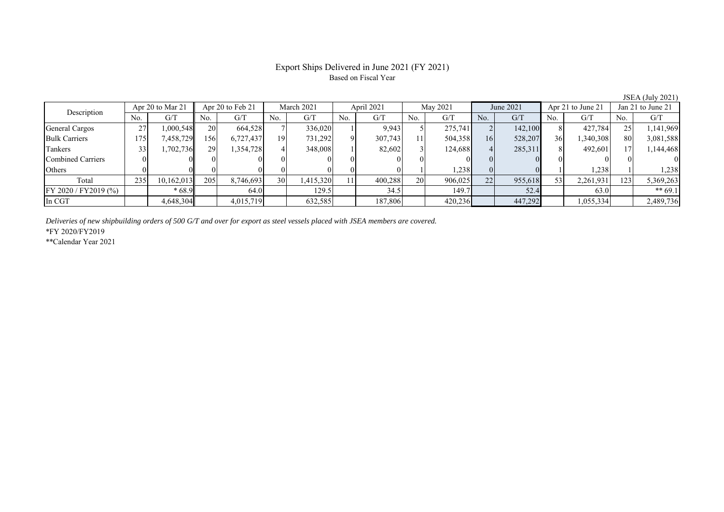# Export Ships Delivered in June 2021 (FY 2021) Based on Fiscal Year

JSEA (July 2021)

| Description           |     | Apr 20 to Mar 21 |                 | Apr 20 to Feb 21<br>March 2021 |     | April 2021 |     | May 2021 |     | June 2021 |     | Apr 21 to June 21 |     | Jan 21 to June 21 |     |           |
|-----------------------|-----|------------------|-----------------|--------------------------------|-----|------------|-----|----------|-----|-----------|-----|-------------------|-----|-------------------|-----|-----------|
|                       | No. | G/T              | No.             | G/T                            | No. | G/T        | No. | G/T      | No. | G/T       | No. | G/T               | No. | G/T               | No. | G/T       |
| General Cargos        | 27  | 000,548          | 20              | 664,528                        |     | 336,020    |     | 9.943    |     | 275,741   |     | 142,100           |     | 427.784           | 25  | 1,141,969 |
| <b>Bulk Carriers</b>  | 175 | 7,458,729        | 156             | 6,727,437                      | 19  | 731,292    |     | 307,743  |     | 504,358   | 16  | 528,207           | 36  | 1,340,308         | 80  | 3,081,588 |
| Tankers               |     | 1,702,736        | 29 <sub>1</sub> | 1,354,728                      |     | 348,008    |     | 82,602   |     | 124,688   |     | 285,311           |     | 492,601           |     | 1,144,468 |
| Combined Carriers     |     |                  |                 |                                |     |            |     | $\Omega$ |     |           |     |                   |     |                   |     |           |
| Others                |     |                  |                 |                                |     |            |     | 01       |     | 1,238     |     |                   |     | 1,238             |     | 1,238     |
| Total                 | 235 | 10,162,013       | 205             | 8,746,693                      | 30  | 1,415,320  |     | 400,288  | 20  | 906,025   | 22  | 955,618           | 53  | 2,261,931         | 123 | 5,369,263 |
| FY 2020 / FY 2019 (%) |     | $*68.9$          |                 | 64.0                           |     | 129.5      |     | 34.5     |     | 149.7     |     | 52.4              |     | 63.0              |     | ** $69.1$ |
| In CGT                |     | 4,648,304        |                 | 4,015,719                      |     | 632,585    |     | 187,806  |     | 420,236   |     | 447,292           |     | 1,055,334         |     | 2,489,736 |

*Deliveries of new shipbuilding orders of 500 G/T and over for export as steel vessels placed with JSEA members are covered.*

\*FY 2020/FY2019

\*\*Calendar Year 2021